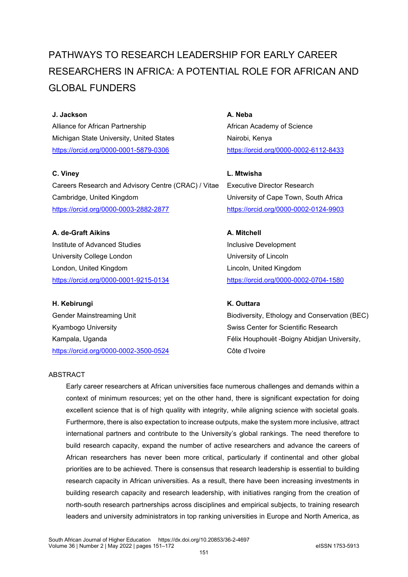# PATHWAYS TO RESEARCH LEADERSHIP FOR EARLY CAREER RESEARCHERS IN AFRICA: A POTENTIAL ROLE FOR AFRICAN AND GLOBAL FUNDERS

#### **J. Jackson**

Alliance for African Partnership Michigan State University, United States <https://orcid.org/0000-0001-5879-0306>

#### **C. Viney**

Careers Research and Advisory Centre (CRAC) / Vitae Cambridge, United Kingdom [https://orcid.org/0000-0003-2882-2877](https://urldefense.com/v3/__https:/orcid.org/0000-0003-2882-2877__;!!HXCxUKc!y5MToow8aAKwAK593uwAFf-UHJQHRj_xO7XpO9c-qehzP-vrFWINiKkhkZdQQgsDdAwByxATWue8FPqbCe9MsO0mew$)

**A. de-Graft Aikins** Institute of Advanced Studies University College London London, United Kingdom <https://orcid.org/0000-0001-9215-0134>

**H. Kebirungi** Gender Mainstreaming Unit Kyambogo University Kampala, Uganda <https://orcid.org/0000-0002-3500-0524> **A. Neba** African Academy of Science Nairobi, Kenya <https://orcid.org/0000-0002-6112-8433>

**L. Mtwisha** Executive Director Research University of Cape Town, South Africa <https://orcid.org/0000-0002-0124-9903>

**A. Mitchell** Inclusive Development University of Lincoln Lincoln, United Kingdom <https://orcid.org/0000-0002-0704-1580>

#### **K. Outtara**

Biodiversity, Ethology and Conservation (BEC) Swiss Center for Scientific Research Félix Houphouët -Boigny Abidjan University, Côte d'Ivoire

#### ABSTRACT

Early career researchers at African universities face numerous challenges and demands within a context of minimum resources; yet on the other hand, there is significant expectation for doing excellent science that is of high quality with integrity, while aligning science with societal goals. Furthermore, there is also expectation to increase outputs, make the system more inclusive, attract international partners and contribute to the University's global rankings. The need therefore to build research capacity, expand the number of active researchers and advance the careers of African researchers has never been more critical, particularly if continental and other global priorities are to be achieved. There is consensus that research leadership is essential to building research capacity in African universities. As a result, there have been increasing investments in building research capacity and research leadership, with initiatives ranging from the creation of north-south research partnerships across disciplines and empirical subjects, to training research leaders and university administrators in top ranking universities in Europe and North America, as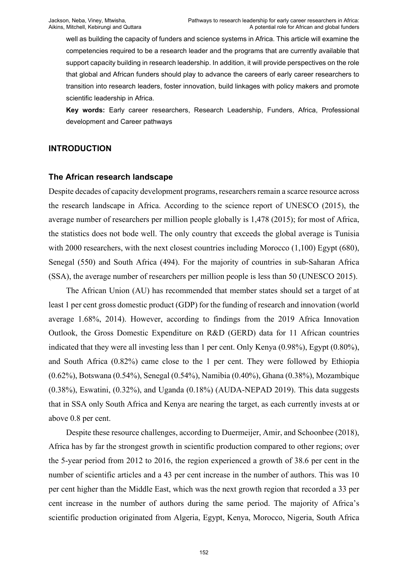well as building the capacity of funders and science systems in Africa. This article will examine the competencies required to be a research leader and the programs that are currently available that support capacity building in research leadership. In addition, it will provide perspectives on the role that global and African funders should play to advance the careers of early career researchers to transition into research leaders, foster innovation, build linkages with policy makers and promote scientific leadership in Africa.

**Key words:** Early career researchers, Research Leadership, Funders, Africa, Professional development and Career pathways

## **INTRODUCTION**

## **The African research landscape**

Despite decades of capacity development programs, researchers remain a scarce resource across the research landscape in Africa. According to the science report of UNESCO (2015), the average number of researchers per million people globally is 1,478 (2015); for most of Africa, the statistics does not bode well. The only country that exceeds the global average is Tunisia with 2000 researchers, with the next closest countries including Morocco  $(1,100)$  Egypt  $(680)$ , Senegal (550) and South Africa (494). For the majority of countries in sub-Saharan Africa (SSA), the average number of researchers per million people is less than 50 (UNESCO 2015).

The African Union (AU) has recommended that member states should set a target of at least 1 per cent gross domestic product (GDP) for the funding of research and innovation (world average 1.68%, 2014). However, according to findings from the 2019 Africa Innovation Outlook, the Gross Domestic Expenditure on R&D (GERD) data for 11 African countries indicated that they were all investing less than 1 per cent. Only Kenya (0.98%), Egypt (0.80%), and South Africa (0.82%) came close to the 1 per cent. They were followed by Ethiopia (0.62%), Botswana (0.54%), Senegal (0.54%), Namibia (0.40%), Ghana (0.38%), Mozambique (0.38%), Eswatini, (0.32%), and Uganda (0.18%) (AUDA-NEPAD 2019). This data suggests that in SSA only South Africa and Kenya are nearing the target, as each currently invests at or above 0.8 per cent.

Despite these resource challenges, according to Duermeijer, Amir, and Schoonbee (2018), Africa has by far the strongest growth in scientific production compared to other regions; over the 5-year period from 2012 to 2016, the region experienced a growth of 38.6 per cent in the number of scientific articles and a 43 per cent increase in the number of authors. This was 10 per cent higher than the Middle East, which was the next growth region that recorded a 33 per cent increase in the number of authors during the same period. The majority of Africa's scientific production originated from Algeria, Egypt, Kenya, Morocco, Nigeria, South Africa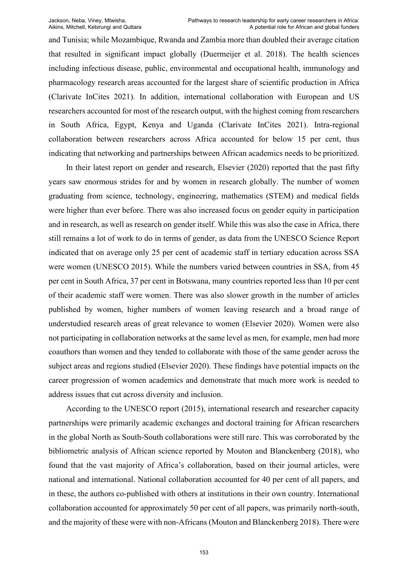and Tunisia; while Mozambique, Rwanda and Zambia more than doubled their average citation that resulted in significant impact globally (Duermeijer et al. 2018). The health sciences including infectious disease, public, environmental and occupational health, immunology and pharmacology research areas accounted for the largest share of scientific production in Africa (Clarivate InCites 2021). In addition, international collaboration with European and US researchers accounted for most of the research output, with the highest coming from researchers in South Africa, Egypt, Kenya and Uganda (Clarivate InCites 2021). Intra-regional collaboration between researchers across Africa accounted for below 15 per cent, thus indicating that networking and partnerships between African academics needs to be prioritized.

In their latest report on gender and research, Elsevier (2020) reported that the past fifty years saw enormous strides for and by women in research globally. The number of women graduating from science, technology, engineering, mathematics (STEM) and medical fields were higher than ever before. There was also increased focus on gender equity in participation and in research, as well as research on gender itself. While this was also the case in Africa, there still remains a lot of work to do in terms of gender, as data from the UNESCO Science Report indicated that on average only 25 per cent of academic staff in tertiary education across SSA were women (UNESCO 2015). While the numbers varied between countries in SSA, from 45 per cent in South Africa, 37 per cent in Botswana, many countries reported less than 10 per cent of their academic staff were women. There was also slower growth in the number of articles published by women, higher numbers of women leaving research and a broad range of understudied research areas of great relevance to women (Elsevier 2020). Women were also not participating in collaboration networks at the same level as men, for example, men had more coauthors than women and they tended to collaborate with those of the same gender across the subject areas and regions studied (Elsevier 2020). These findings have potential impacts on the career progression of women academics and demonstrate that much more work is needed to address issues that cut across diversity and inclusion.

According to the UNESCO report (2015), international research and researcher capacity partnerships were primarily academic exchanges and doctoral training for African researchers in the global North as South-South collaborations were still rare. This was corroborated by the bibliometric analysis of African science reported by Mouton and Blanckenberg (2018), who found that the vast majority of Africa's collaboration, based on their journal articles, were national and international. National collaboration accounted for 40 per cent of all papers, and in these, the authors co-published with others at institutions in their own country. International collaboration accounted for approximately 50 per cent of all papers, was primarily north-south, and the majority of these were with non-Africans (Mouton and Blanckenberg 2018). There were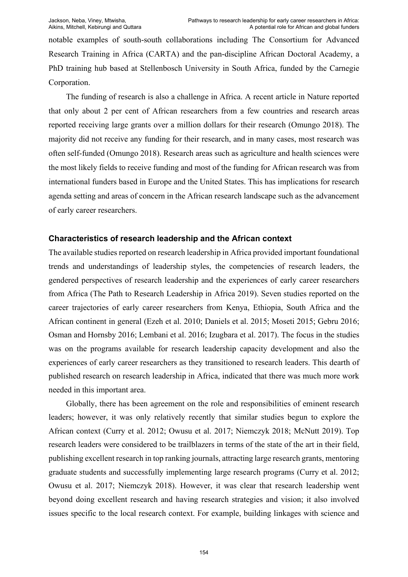notable examples of south-south collaborations including The Consortium for Advanced Research Training in Africa (CARTA) and the pan-discipline African Doctoral Academy, a PhD training hub based at Stellenbosch University in South Africa, funded by the Carnegie Corporation.

The funding of research is also a challenge in Africa. A recent article in Nature reported that only about 2 per cent of African researchers from a few countries and research areas reported receiving large grants over a million dollars for their research (Omungo 2018). The majority did not receive any funding for their research, and in many cases, most research was often self-funded (Omungo 2018). Research areas such as agriculture and health sciences were the most likely fields to receive funding and most of the funding for African research was from international funders based in Europe and the United States. This has implications for research agenda setting and areas of concern in the African research landscape such as the advancement of early career researchers.

## **Characteristics of research leadership and the African context**

The available studies reported on research leadership in Africa provided important foundational trends and understandings of leadership styles, the competencies of research leaders, the gendered perspectives of research leadership and the experiences of early career researchers from Africa (The Path to Research Leadership in Africa 2019). Seven studies reported on the career trajectories of early career researchers from Kenya, Ethiopia, South Africa and the African continent in general (Ezeh et al. 2010; Daniels et al. 2015; Moseti 2015; Gebru 2016; Osman and Hornsby 2016; Lembani et al. 2016; Izugbara et al. 2017). The focus in the studies was on the programs available for research leadership capacity development and also the experiences of early career researchers as they transitioned to research leaders. This dearth of published research on research leadership in Africa, indicated that there was much more work needed in this important area.

Globally, there has been agreement on the role and responsibilities of eminent research leaders; however, it was only relatively recently that similar studies begun to explore the African context (Curry et al. 2012; Owusu et al. 2017; Niemczyk 2018; McNutt 2019). Top research leaders were considered to be trailblazers in terms of the state of the art in their field, publishing excellent research in top ranking journals, attracting large research grants, mentoring graduate students and successfully implementing large research programs (Curry et al. 2012; Owusu et al. 2017; Niemczyk 2018). However, it was clear that research leadership went beyond doing excellent research and having research strategies and vision; it also involved issues specific to the local research context. For example, building linkages with science and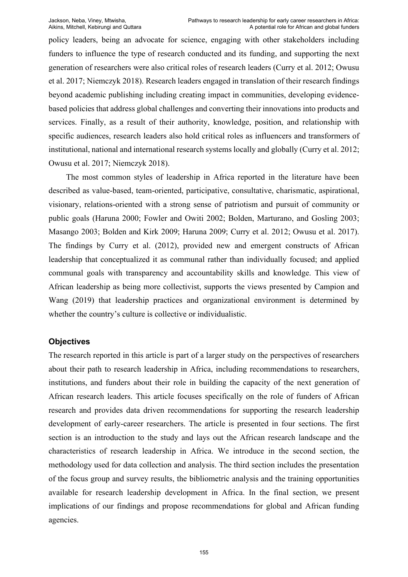policy leaders, being an advocate for science, engaging with other stakeholders including funders to influence the type of research conducted and its funding, and supporting the next generation of researchers were also critical roles of research leaders (Curry et al. 2012; Owusu et al. 2017; Niemczyk 2018). Research leaders engaged in translation of their research findings beyond academic publishing including creating impact in communities, developing evidencebased policies that address global challenges and converting their innovations into products and services. Finally, as a result of their authority, knowledge, position, and relationship with specific audiences, research leaders also hold critical roles as influencers and transformers of institutional, national and international research systems locally and globally (Curry et al. 2012; Owusu et al. 2017; Niemczyk 2018).

The most common styles of leadership in Africa reported in the literature have been described as value-based, team-oriented, participative, consultative, charismatic, aspirational, visionary, relations-oriented with a strong sense of patriotism and pursuit of community or public goals (Haruna 2000; Fowler and Owiti 2002; Bolden, Marturano, and Gosling 2003; Masango 2003; Bolden and Kirk 2009; Haruna 2009; Curry et al. 2012; Owusu et al. 2017). The findings by Curry et al. (2012), provided new and emergent constructs of African leadership that conceptualized it as communal rather than individually focused; and applied communal goals with transparency and accountability skills and knowledge. This view of African leadership as being more collectivist, supports the views presented by Campion and Wang (2019) that leadership practices and organizational environment is determined by whether the country's culture is collective or individualistic.

## **Objectives**

The research reported in this article is part of a larger study on the perspectives of researchers about their path to research leadership in Africa, including recommendations to researchers, institutions, and funders about their role in building the capacity of the next generation of African research leaders. This article focuses specifically on the role of funders of African research and provides data driven recommendations for supporting the research leadership development of early-career researchers. The article is presented in four sections. The first section is an introduction to the study and lays out the African research landscape and the characteristics of research leadership in Africa. We introduce in the second section, the methodology used for data collection and analysis. The third section includes the presentation of the focus group and survey results, the bibliometric analysis and the training opportunities available for research leadership development in Africa. In the final section, we present implications of our findings and propose recommendations for global and African funding agencies.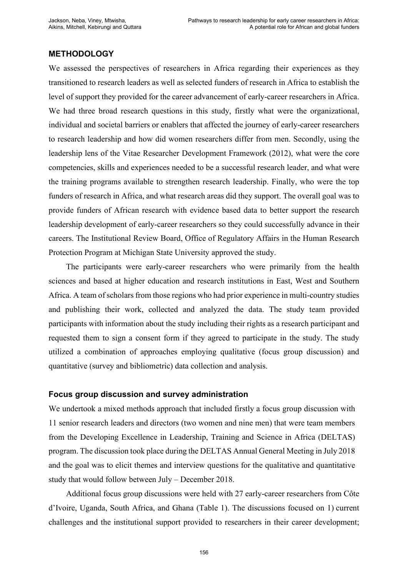### **METHODOLOGY**

We assessed the perspectives of researchers in Africa regarding their experiences as they transitioned to research leaders as well as selected funders of research in Africa to establish the level of support they provided for the career advancement of early-career researchers in Africa. We had three broad research questions in this study, firstly what were the organizational, individual and societal barriers or enablers that affected the journey of early-career researchers to research leadership and how did women researchers differ from men. Secondly, using the leadership lens of the Vitae Researcher Development Framework (2012), what were the core competencies, skills and experiences needed to be a successful research leader, and what were the training programs available to strengthen research leadership. Finally, who were the top funders of research in Africa, and what research areas did they support. The overall goal was to provide funders of African research with evidence based data to better support the research leadership development of early-career researchers so they could successfully advance in their careers. The Institutional Review Board, Office of Regulatory Affairs in the Human Research Protection Program at Michigan State University approved the study.

The participants were early-career researchers who were primarily from the health sciences and based at higher education and research institutions in East, West and Southern Africa. A team of scholars from those regions who had prior experience in multi-country studies and publishing their work, collected and analyzed the data. The study team provided participants with information about the study including their rights as a research participant and requested them to sign a consent form if they agreed to participate in the study. The study utilized a combination of approaches employing qualitative (focus group discussion) and quantitative (survey and bibliometric) data collection and analysis.

## **Focus group discussion and survey administration**

We undertook a mixed methods approach that included firstly a focus group discussion with 11 senior research leaders and directors (two women and nine men) that were team members from the Developing Excellence in Leadership, Training and Science in Africa (DELTAS) program. The discussion took place during the DELTAS Annual General Meeting in July 2018 and the goal was to elicit themes and interview questions for the qualitative and quantitative study that would follow between July – December 2018.

Additional focus group discussions were held with 27 early-career researchers from Côte d'Ivoire, Uganda, South Africa, and Ghana (Table 1). The discussions focused on 1) current challenges and the institutional support provided to researchers in their career development;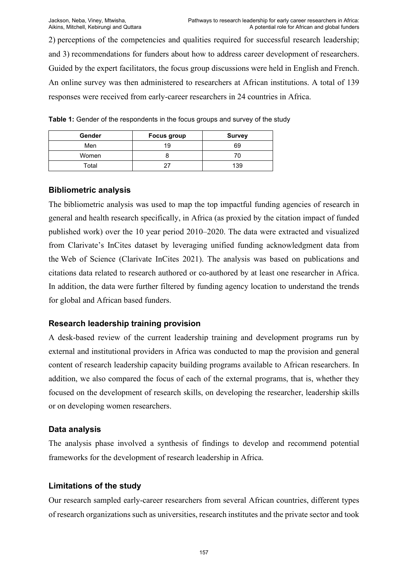2) perceptions of the competencies and qualities required for successful research leadership; and 3) recommendations for funders about how to address career development of researchers. Guided by the expert facilitators, the focus group discussions were held in English and French. An online survey was then administered to researchers at African institutions. A total of 139 responses were received from early-career researchers in 24 countries in Africa.

| Table 1: Gender of the respondents in the focus groups and survey of the study |  |  |
|--------------------------------------------------------------------------------|--|--|
|--------------------------------------------------------------------------------|--|--|

| Gender | <b>Focus group</b> | <b>Survey</b> |
|--------|--------------------|---------------|
| Men    | 19                 | 69            |
| Women  |                    |               |
| Total  |                    | 139           |

## **Bibliometric analysis**

The bibliometric analysis was used to map the top impactful funding agencies of research in general and health research specifically, in Africa (as proxied by the citation impact of funded published work) over the 10 year period 2010–2020. The data were extracted and visualized from Clarivate's InCites dataset by leveraging unified funding acknowledgment data from the Web of Science (Clarivate InCites 2021). The analysis was based on publications and citations data related to research authored or co-authored by at least one researcher in Africa. In addition, the data were further filtered by funding agency location to understand the trends for global and African based funders.

# **Research leadership training provision**

A desk-based review of the current leadership training and development programs run by external and institutional providers in Africa was conducted to map the provision and general content of research leadership capacity building programs available to African researchers. In addition, we also compared the focus of each of the external programs, that is, whether they focused on the development of research skills, on developing the researcher, leadership skills or on developing women researchers.

# **Data analysis**

The analysis phase involved a synthesis of findings to develop and recommend potential frameworks for the development of research leadership in Africa.

## **Limitations of the study**

Our research sampled early-career researchers from several African countries, different types of research organizations such as universities, research institutes and the private sector and took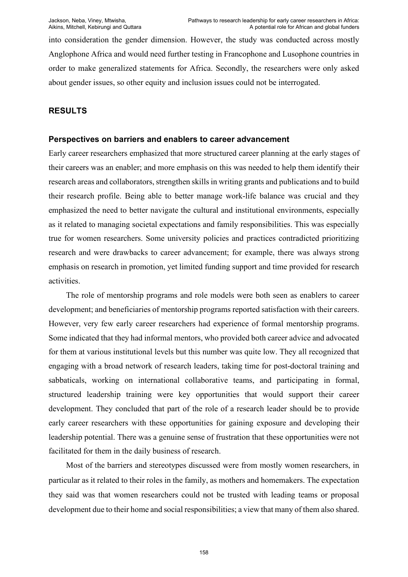into consideration the gender dimension. However, the study was conducted across mostly Anglophone Africa and would need further testing in Francophone and Lusophone countries in order to make generalized statements for Africa. Secondly, the researchers were only asked about gender issues, so other equity and inclusion issues could not be interrogated.

## **RESULTS**

## **Perspectives on barriers and enablers to career advancement**

Early career researchers emphasized that more structured career planning at the early stages of their careers was an enabler; and more emphasis on this was needed to help them identify their research areas and collaborators, strengthen skills in writing grants and publications and to build their research profile. Being able to better manage work-life balance was crucial and they emphasized the need to better navigate the cultural and institutional environments, especially as it related to managing societal expectations and family responsibilities. This was especially true for women researchers. Some university policies and practices contradicted prioritizing research and were drawbacks to career advancement; for example, there was always strong emphasis on research in promotion, yet limited funding support and time provided for research activities.

The role of mentorship programs and role models were both seen as enablers to career development; and beneficiaries of mentorship programs reported satisfaction with their careers. However, very few early career researchers had experience of formal mentorship programs. Some indicated that they had informal mentors, who provided both career advice and advocated for them at various institutional levels but this number was quite low. They all recognized that engaging with a broad network of research leaders, taking time for post-doctoral training and sabbaticals, working on international collaborative teams, and participating in formal, structured leadership training were key opportunities that would support their career development. They concluded that part of the role of a research leader should be to provide early career researchers with these opportunities for gaining exposure and developing their leadership potential. There was a genuine sense of frustration that these opportunities were not facilitated for them in the daily business of research.

Most of the barriers and stereotypes discussed were from mostly women researchers, in particular as it related to their roles in the family, as mothers and homemakers. The expectation they said was that women researchers could not be trusted with leading teams or proposal development due to their home and social responsibilities; a view that many of them also shared.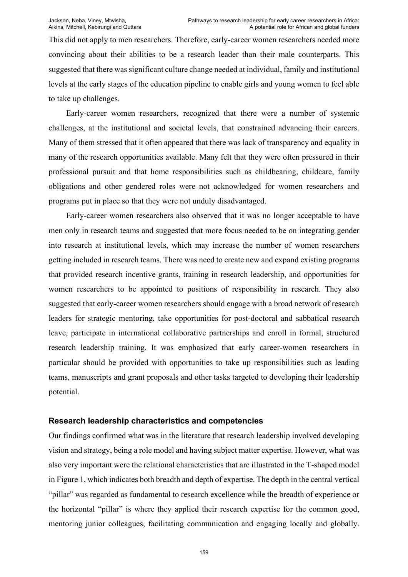This did not apply to men researchers. Therefore, early-career women researchers needed more convincing about their abilities to be a research leader than their male counterparts. This suggested that there was significant culture change needed at individual, family and institutional levels at the early stages of the education pipeline to enable girls and young women to feel able to take up challenges.

Early-career women researchers, recognized that there were a number of systemic challenges, at the institutional and societal levels, that constrained advancing their careers. Many of them stressed that it often appeared that there was lack of transparency and equality in many of the research opportunities available. Many felt that they were often pressured in their professional pursuit and that home responsibilities such as childbearing, childcare, family obligations and other gendered roles were not acknowledged for women researchers and programs put in place so that they were not unduly disadvantaged.

Early-career women researchers also observed that it was no longer acceptable to have men only in research teams and suggested that more focus needed to be on integrating gender into research at institutional levels, which may increase the number of women researchers getting included in research teams. There was need to create new and expand existing programs that provided research incentive grants, training in research leadership, and opportunities for women researchers to be appointed to positions of responsibility in research. They also suggested that early-career women researchers should engage with a broad network of research leaders for strategic mentoring, take opportunities for post-doctoral and sabbatical research leave, participate in international collaborative partnerships and enroll in formal, structured research leadership training. It was emphasized that early career-women researchers in particular should be provided with opportunities to take up responsibilities such as leading teams, manuscripts and grant proposals and other tasks targeted to developing their leadership potential.

## **Research leadership characteristics and competencies**

Our findings confirmed what was in the literature that research leadership involved developing vision and strategy, being a role model and having subject matter expertise. However, what was also very important were the relational characteristics that are illustrated in the T-shaped model in Figure 1, which indicates both breadth and depth of expertise. The depth in the central vertical "pillar" was regarded as fundamental to research excellence while the breadth of experience or the horizontal "pillar" is where they applied their research expertise for the common good, mentoring junior colleagues, facilitating communication and engaging locally and globally.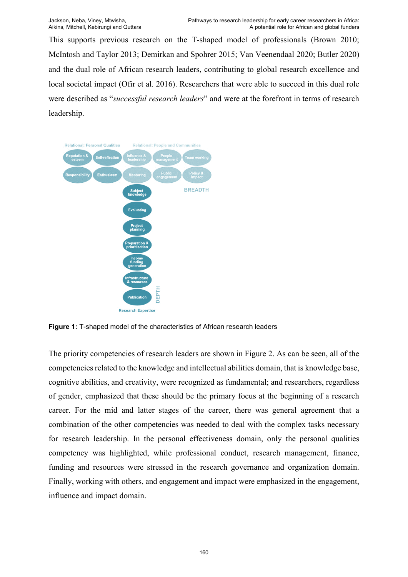This supports previous research on the T-shaped model of professionals (Brown 2010; McIntosh and Taylor 2013; Demirkan and Spohrer 2015; Van Veenendaal 2020; Butler 2020) and the dual role of African research leaders, contributing to global research excellence and local societal impact (Ofir et al. 2016). Researchers that were able to succeed in this dual role were described as "*successful research leaders*" and were at the forefront in terms of research leadership.



**Figure 1:** T-shaped model of the characteristics of African research leaders

The priority competencies of research leaders are shown in Figure 2. As can be seen, all of the competencies related to the knowledge and intellectual abilities domain, that is knowledge base, cognitive abilities, and creativity, were recognized as fundamental; and researchers, regardless of gender, emphasized that these should be the primary focus at the beginning of a research career. For the mid and latter stages of the career, there was general agreement that a combination of the other competencies was needed to deal with the complex tasks necessary for research leadership. In the personal effectiveness domain, only the personal qualities competency was highlighted, while professional conduct, research management, finance, funding and resources were stressed in the research governance and organization domain. Finally, working with others, and engagement and impact were emphasized in the engagement, influence and impact domain.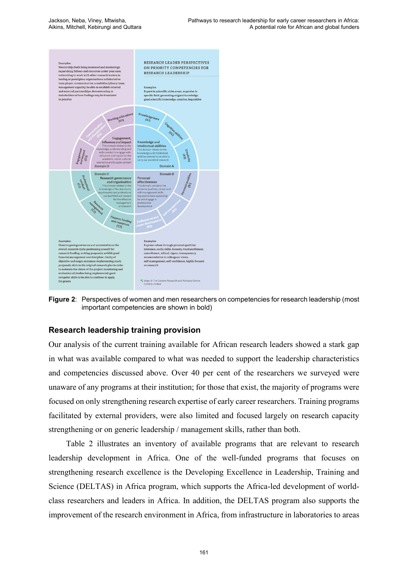

**Figure 2**: Perspectives of women and men researchers on competencies for research leadership (most important competencies are shown in bold)

# **Research leadership training provision**

Our analysis of the current training available for African research leaders showed a stark gap in what was available compared to what was needed to support the leadership characteristics and competencies discussed above. Over 40 per cent of the researchers we surveyed were unaware of any programs at their institution; for those that exist, the majority of programs were focused on only strengthening research expertise of early career researchers. Training programs facilitated by external providers, were also limited and focused largely on research capacity strengthening or on generic leadership / management skills, rather than both.

Table 2 illustrates an inventory of available programs that are relevant to research leadership development in Africa. One of the well-funded programs that focuses on strengthening research excellence is the Developing Excellence in Leadership, Training and Science (DELTAS) in Africa program, which supports the Africa-led development of worldclass researchers and leaders in Africa. In addition, the DELTAS program also supports the improvement of the research environment in Africa, from infrastructure in laboratories to areas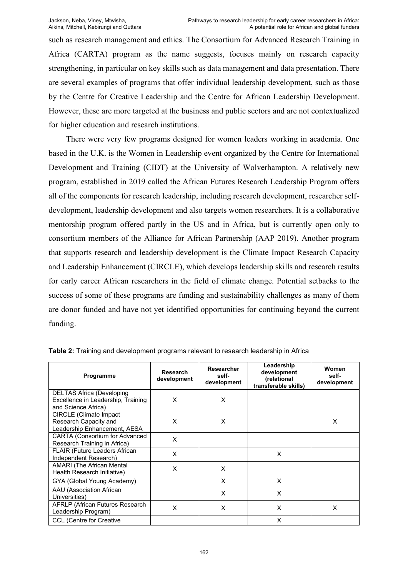such as research management and ethics. The Consortium for Advanced Research Training in Africa (CARTA) program as the name suggests, focuses mainly on research capacity strengthening, in particular on key skills such as data management and data presentation. There are several examples of programs that offer individual leadership development, such as those by the Centre for Creative Leadership and the Centre for African Leadership Development. However, these are more targeted at the business and public sectors and are not contextualized for higher education and research institutions.

There were very few programs designed for women leaders working in academia. One based in the U.K. is the Women in Leadership event organized by the Centre for International Development and Training (CIDT) at the University of Wolverhampton. A relatively new program, established in 2019 called the African Futures Research Leadership Program offers all of the components for research leadership, including research development, researcher selfdevelopment, leadership development and also targets women researchers. It is a collaborative mentorship program offered partly in the US and in Africa, but is currently open only to consortium members of the Alliance for African Partnership (AAP 2019). Another program that supports research and leadership development is the Climate Impact Research Capacity and Leadership Enhancement (CIRCLE), which develops leadership skills and research results for early career African researchers in the field of climate change. Potential setbacks to the success of some of these programs are funding and sustainability challenges as many of them are donor funded and have not yet identified opportunities for continuing beyond the current funding.

| Programme                                                                                     | <b>Research</b><br>development | Researcher<br>self-<br>development | Leadership<br>development<br>(relational<br>transferable skills) | Women<br>self-<br>development |
|-----------------------------------------------------------------------------------------------|--------------------------------|------------------------------------|------------------------------------------------------------------|-------------------------------|
| <b>DELTAS Africa (Developing</b><br>Excellence in Leadership, Training<br>and Science Africa) | X                              | X                                  |                                                                  |                               |
| <b>CIRCLE</b> (Climate Impact<br>Research Capacity and<br>Leadership Enhancement, AESA        | X                              | X                                  |                                                                  | X                             |
| <b>CARTA (Consortium for Advanced</b><br>Research Training in Africa)                         | X                              |                                    |                                                                  |                               |
| FLAIR (Future Leaders African<br>Independent Research)                                        | X                              |                                    | X                                                                |                               |
| <b>AMARI</b> (The African Mental<br>Health Research Initiative)                               | X                              | X                                  |                                                                  |                               |
| GYA (Global Young Academy)                                                                    |                                | X                                  | X                                                                |                               |
| AAU (Association African<br>Universities)                                                     |                                | X                                  | X                                                                |                               |
| <b>AFRLP (African Futures Research</b><br>Leadership Program)                                 | X                              | X                                  | X                                                                | X                             |
| <b>CCL (Centre for Creative</b>                                                               |                                |                                    | X                                                                |                               |

**Table 2:** Training and development programs relevant to research leadership in Africa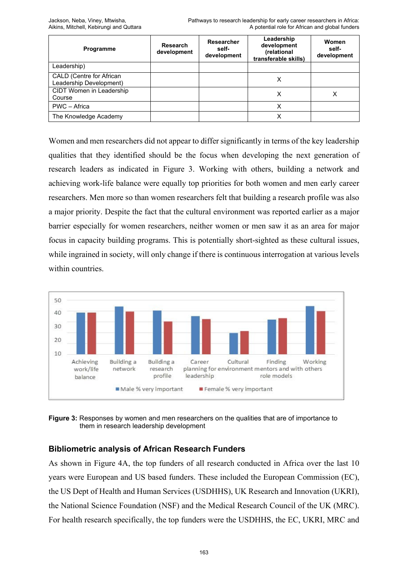| Programme                                           | <b>Research</b><br>development | Researcher<br>self-<br>development | Leadership<br>development<br>(relational<br>transferable skills) | Women<br>self-<br>development |
|-----------------------------------------------------|--------------------------------|------------------------------------|------------------------------------------------------------------|-------------------------------|
| Leadership)                                         |                                |                                    |                                                                  |                               |
| CALD (Centre for African<br>Leadership Development) |                                |                                    | Х                                                                |                               |
| CIDT Women in Leadership<br>Course                  |                                |                                    | х                                                                | х                             |
| PWC - Africa                                        |                                |                                    | X                                                                |                               |
| The Knowledge Academy                               |                                |                                    |                                                                  |                               |

Women and men researchers did not appear to differ significantly in terms of the key leadership qualities that they identified should be the focus when developing the next generation of research leaders as indicated in Figure 3. Working with others, building a network and achieving work-life balance were equally top priorities for both women and men early career researchers. Men more so than women researchers felt that building a research profile was also a major priority. Despite the fact that the cultural environment was reported earlier as a major barrier especially for women researchers, neither women or men saw it as an area for major focus in capacity building programs. This is potentially short-sighted as these cultural issues, while ingrained in society, will only change if there is continuous interrogation at various levels within countries.



**Figure 3:** Responses by women and men researchers on the qualities that are of importance to them in research leadership development

# **Bibliometric analysis of African Research Funders**

As shown in Figure 4A, the top funders of all research conducted in Africa over the last 10 years were European and US based funders. These included the European Commission (EC), the US Dept of Health and Human Services (USDHHS), UK Research and Innovation (UKRI), the National Science Foundation (NSF) and the Medical Research Council of the UK (MRC). For health research specifically, the top funders were the USDHHS, the EC, UKRI, MRC and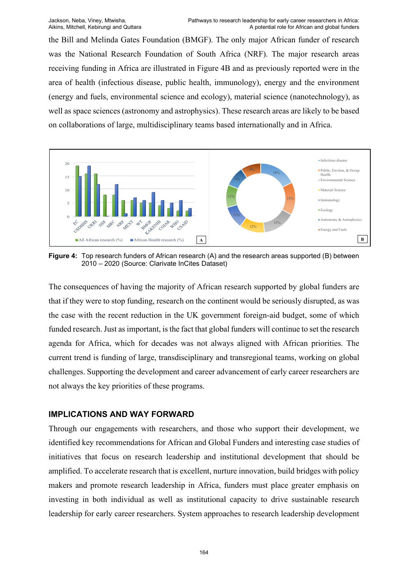the Bill and Melinda Gates Foundation (BMGF). The only major African funder of research was the National Research Foundation of South Africa (NRF). The major research areas receiving funding in Africa are illustrated in Figure 4B and as previously reported were in the area of health (infectious disease, public health, immunology), energy and the environment (energy and fuels, environmental science and ecology), material science (nanotechnology), as well as space sciences (astronomy and astrophysics). These research areas are likely to be based on collaborations of large, multidisciplinary teams based internationally and in Africa.



**Figure 4:** Top research funders of African research (A) and the research areas supported (B) between 2010 – 2020 (Source: Clarivate InCites Dataset)

The consequences of having the majority of African research supported by global funders are that if they were to stop funding, research on the continent would be seriously disrupted, as was the case with the recent reduction in the UK government foreign-aid budget, some of which funded research. Just as important, is the fact that global funders will continue to set the research agenda for Africa, which for decades was not always aligned with African priorities. The current trend is funding of large, transdisciplinary and transregional teams, working on global challenges. Supporting the development and career advancement of early career researchers are not always the key priorities of these programs.

## **IMPLICATIONS AND WAY FORWARD**

Through our engagements with researchers, and those who support their development, we identified key recommendations for African and Global Funders and interesting case studies of initiatives that focus on research leadership and institutional development that should be amplified. To accelerate research that is excellent, nurture innovation, build bridges with policy makers and promote research leadership in Africa, funders must place greater emphasis on investing in both individual as well as institutional capacity to drive sustainable research leadership for early career researchers. System approaches to research leadership development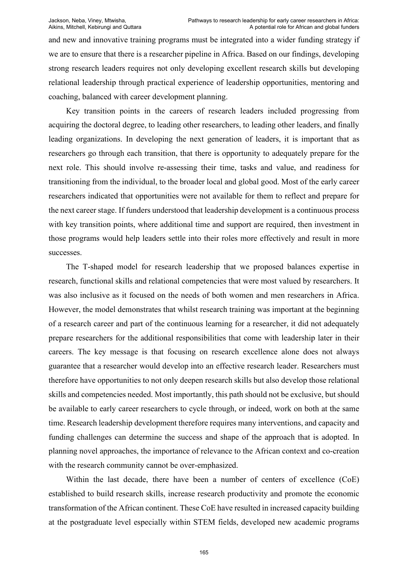and new and innovative training programs must be integrated into a wider funding strategy if we are to ensure that there is a researcher pipeline in Africa. Based on our findings, developing strong research leaders requires not only developing excellent research skills but developing relational leadership through practical experience of leadership opportunities, mentoring and coaching, balanced with career development planning.

Key transition points in the careers of research leaders included progressing from acquiring the doctoral degree, to leading other researchers, to leading other leaders, and finally leading organizations. In developing the next generation of leaders, it is important that as researchers go through each transition, that there is opportunity to adequately prepare for the next role. This should involve re-assessing their time, tasks and value, and readiness for transitioning from the individual, to the broader local and global good. Most of the early career researchers indicated that opportunities were not available for them to reflect and prepare for the next career stage. If funders understood that leadership development is a continuous process with key transition points, where additional time and support are required, then investment in those programs would help leaders settle into their roles more effectively and result in more successes.

The T-shaped model for research leadership that we proposed balances expertise in research, functional skills and relational competencies that were most valued by researchers. It was also inclusive as it focused on the needs of both women and men researchers in Africa. However, the model demonstrates that whilst research training was important at the beginning of a research career and part of the continuous learning for a researcher, it did not adequately prepare researchers for the additional responsibilities that come with leadership later in their careers. The key message is that focusing on research excellence alone does not always guarantee that a researcher would develop into an effective research leader. Researchers must therefore have opportunities to not only deepen research skills but also develop those relational skills and competencies needed. Most importantly, this path should not be exclusive, but should be available to early career researchers to cycle through, or indeed, work on both at the same time. Research leadership development therefore requires many interventions, and capacity and funding challenges can determine the success and shape of the approach that is adopted. In planning novel approaches, the importance of relevance to the African context and co-creation with the research community cannot be over-emphasized.

Within the last decade, there have been a number of centers of excellence (CoE) established to build research skills, increase research productivity and promote the economic transformation of the African continent. These CoE have resulted in increased capacity building at the postgraduate level especially within STEM fields, developed new academic programs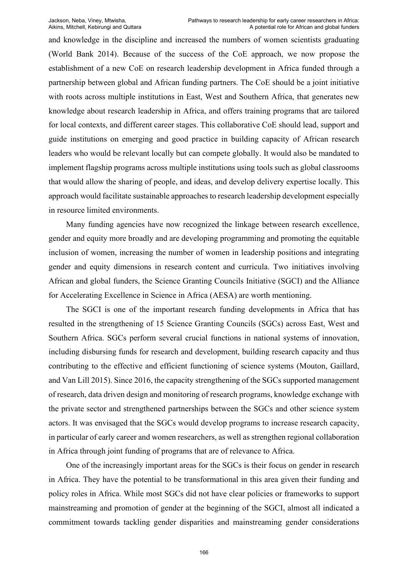and knowledge in the discipline and increased the numbers of women scientists graduating (World Bank 2014). Because of the success of the CoE approach, we now propose the establishment of a new CoE on research leadership development in Africa funded through a partnership between global and African funding partners. The CoE should be a joint initiative with roots across multiple institutions in East, West and Southern Africa, that generates new knowledge about research leadership in Africa, and offers training programs that are tailored for local contexts, and different career stages. This collaborative CoE should lead, support and guide institutions on emerging and good practice in building capacity of African research leaders who would be relevant locally but can compete globally. It would also be mandated to implement flagship programs across multiple institutions using tools such as global classrooms that would allow the sharing of people, and ideas, and develop delivery expertise locally. This approach would facilitate sustainable approaches to research leadership development especially in resource limited environments.

Many funding agencies have now recognized the linkage between research excellence, gender and equity more broadly and are developing programming and promoting the equitable inclusion of women, increasing the number of women in leadership positions and integrating gender and equity dimensions in research content and curricula. Two initiatives involving African and global funders, the Science Granting Councils Initiative (SGCI) and the Alliance for Accelerating Excellence in Science in Africa (AESA) are worth mentioning.

The SGCI is one of the important research funding developments in Africa that has resulted in the strengthening of 15 Science Granting Councils (SGCs) across East, West and Southern Africa. SGCs perform several crucial functions in national systems of innovation, including disbursing funds for research and development, building research capacity and thus contributing to the effective and efficient functioning of science systems (Mouton, Gaillard, and Van Lill 2015). Since 2016, the capacity strengthening of the SGCs supported management of research, data driven design and monitoring of research programs, knowledge exchange with the private sector and strengthened partnerships between the SGCs and other science system actors. It was envisaged that the SGCs would develop programs to increase research capacity, in particular of early career and women researchers, as well as strengthen regional collaboration in Africa through joint funding of programs that are of relevance to Africa.

One of the increasingly important areas for the SGCs is their focus on gender in research in Africa. They have the potential to be transformational in this area given their funding and policy roles in Africa. While most SGCs did not have clear policies or frameworks to support mainstreaming and promotion of gender at the beginning of the SGCI, almost all indicated a commitment towards tackling gender disparities and mainstreaming gender considerations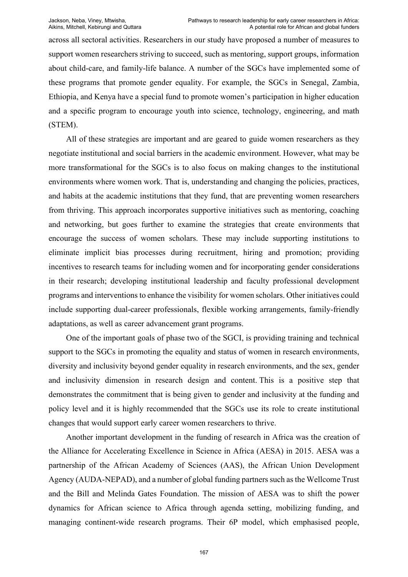across all sectoral activities. Researchers in our study have proposed a number of measures to support women researchers striving to succeed, such as mentoring, support groups, information about child-care, and family-life balance. A number of the SGCs have implemented some of these programs that promote gender equality. For example, the SGCs in Senegal, Zambia, Ethiopia, and Kenya have a special fund to promote women's participation in higher education and a specific program to encourage youth into science, technology, engineering, and math (STEM).

All of these strategies are important and are geared to guide women researchers as they negotiate institutional and social barriers in the academic environment. However, what may be more transformational for the SGCs is to also focus on making changes to the institutional environments where women work. That is, understanding and changing the policies, practices, and habits at the academic institutions that they fund, that are preventing women researchers from thriving. This approach incorporates supportive initiatives such as mentoring, coaching and networking, but goes further to examine the strategies that create environments that encourage the success of women scholars. These may include supporting institutions to eliminate implicit bias processes during recruitment, hiring and promotion; providing incentives to research teams for including women and for incorporating gender considerations in their research; developing institutional leadership and faculty professional development programs and interventions to enhance the visibility for women scholars. Other initiatives could include supporting dual-career professionals, flexible working arrangements, family-friendly adaptations, as well as career advancement grant programs.

One of the important goals of phase two of the SGCI, is providing training and technical support to the SGCs in promoting the equality and status of women in research environments, diversity and inclusivity beyond gender equality in research environments, and the sex, gender and inclusivity dimension in research design and content. This is a positive step that demonstrates the commitment that is being given to gender and inclusivity at the funding and policy level and it is highly recommended that the SGCs use its role to create institutional changes that would support early career women researchers to thrive.

Another important development in the funding of research in Africa was the creation of the Alliance for Accelerating Excellence in Science in Africa (AESA) in 2015. AESA was a partnership of the African Academy of Sciences (AAS), the African Union Development Agency (AUDA-NEPAD), and a number of global funding partners such as the Wellcome Trust and the Bill and Melinda Gates Foundation. The mission of AESA was to shift the power dynamics for African science to Africa through agenda setting, mobilizing funding, and managing continent-wide research programs. Their 6P model, which emphasised people,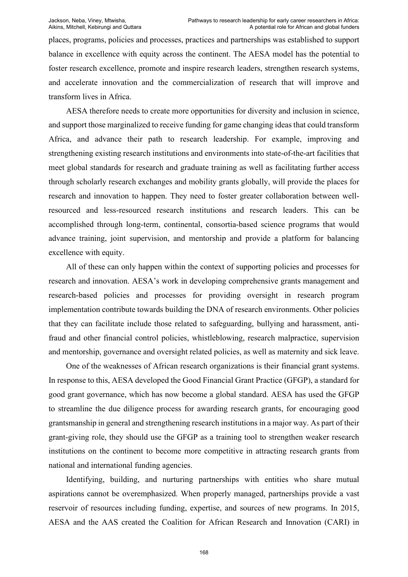places, programs, policies and processes, practices and partnerships was established to support balance in excellence with equity across the continent. The AESA model has the potential to foster research excellence, promote and inspire research leaders, strengthen research systems, and accelerate innovation and the commercialization of research that will improve and transform lives in Africa.

AESA therefore needs to create more opportunities for diversity and inclusion in science, and support those marginalized to receive funding for game changing ideas that could transform Africa, and advance their path to research leadership. For example, improving and strengthening existing research institutions and environments into state-of-the-art facilities that meet global standards for research and graduate training as well as facilitating further access through scholarly research exchanges and mobility grants globally, will provide the places for research and innovation to happen. They need to foster greater collaboration between wellresourced and less-resourced research institutions and research leaders. This can be accomplished through long-term, continental, consortia-based science programs that would advance training, joint supervision, and mentorship and provide a platform for balancing excellence with equity.

All of these can only happen within the context of supporting policies and processes for research and innovation. AESA's work in developing comprehensive grants management and research-based policies and processes for providing oversight in research program implementation contribute towards building the DNA of research environments. Other policies that they can facilitate include those related to safeguarding, bullying and harassment, antifraud and other financial control policies, whistleblowing, research malpractice, supervision and mentorship, governance and oversight related policies, as well as maternity and sick leave.

One of the weaknesses of African research organizations is their financial grant systems. In response to this, AESA developed the Good Financial Grant Practice (GFGP), a standard for good grant governance, which has now become a global standard. AESA has used the GFGP to streamline the due diligence process for awarding research grants, for encouraging good grantsmanship in general and strengthening research institutions in a major way. As part of their grant-giving role, they should use the GFGP as a training tool to strengthen weaker research institutions on the continent to become more competitive in attracting research grants from national and international funding agencies.

Identifying, building, and nurturing partnerships with entities who share mutual aspirations cannot be overemphasized. When properly managed, partnerships provide a vast reservoir of resources including funding, expertise, and sources of new programs. In 2015, AESA and the AAS created the Coalition for African Research and Innovation (CARI) in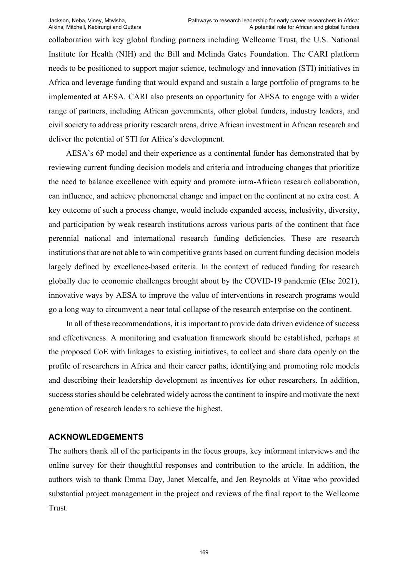collaboration with key global funding partners including Wellcome Trust, the U.S. National Institute for Health (NIH) and the Bill and Melinda Gates Foundation. The CARI platform needs to be positioned to support major science, technology and innovation (STI) initiatives in Africa and leverage funding that would expand and sustain a large portfolio of programs to be implemented at AESA. CARI also presents an opportunity for AESA to engage with a wider range of partners, including African governments, other global funders, industry leaders, and civil society to address priority research areas, drive African investment in African research and deliver the potential of STI for Africa's development.

AESA's 6P model and their experience as a continental funder has demonstrated that by reviewing current funding decision models and criteria and introducing changes that prioritize the need to balance excellence with equity and promote intra-African research collaboration, can influence, and achieve phenomenal change and impact on the continent at no extra cost. A key outcome of such a process change, would include expanded access, inclusivity, diversity, and participation by weak research institutions across various parts of the continent that face perennial national and international research funding deficiencies. These are research institutions that are not able to win competitive grants based on current funding decision models largely defined by excellence-based criteria. In the context of reduced funding for research globally due to economic challenges brought about by the COVID-19 pandemic (Else 2021), innovative ways by AESA to improve the value of interventions in research programs would go a long way to circumvent a near total collapse of the research enterprise on the continent.

In all of these recommendations, it is important to provide data driven evidence of success and effectiveness. A monitoring and evaluation framework should be established, perhaps at the proposed CoE with linkages to existing initiatives, to collect and share data openly on the profile of researchers in Africa and their career paths, identifying and promoting role models and describing their leadership development as incentives for other researchers. In addition, success stories should be celebrated widely across the continent to inspire and motivate the next generation of research leaders to achieve the highest.

# **ACKNOWLEDGEMENTS**

The authors thank all of the participants in the focus groups, key informant interviews and the online survey for their thoughtful responses and contribution to the article. In addition, the authors wish to thank Emma Day, Janet Metcalfe, and Jen Reynolds at Vitae who provided substantial project management in the project and reviews of the final report to the Wellcome Trust.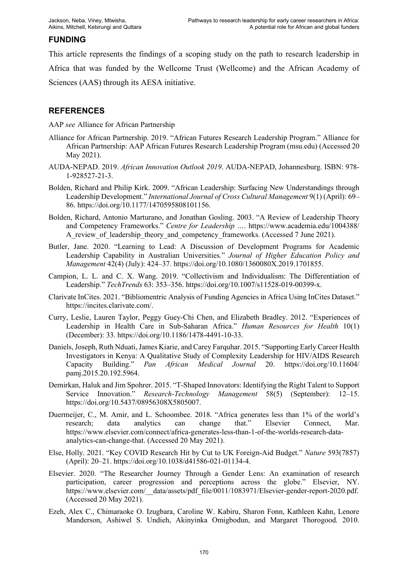## **FUNDING**

This article represents the findings of a scoping study on the path to research leadership in Africa that was funded by the Wellcome Trust (Wellcome) and the African Academy of Sciences (AAS) through its AESA initiative.

### **REFERENCES**

AAP *see* Alliance for African Partnership

- Alliance for African Partnership. 2019. "African Futures Research Leadership Program." Alliance for African Partnership: AAP African Futures Research Leadership Program (msu.edu) (Accessed 20 May 2021).
- AUDA-NEPAD. 2019. *African Innovation Outlook 2019*. AUDA-NEPAD, Johannesburg. ISBN: 978- 1-928527-21-3.
- Bolden, Richard and Philip Kirk. 2009. "African Leadership: Surfacing New Understandings through Leadership Development." *International Journal of Cross Cultural Management* 9(1) (April): 69– 86. https://doi.org/10.1177/1470595808101156.
- Bolden, Richard, Antonio Marturano, and Jonathan Gosling. 2003. "A Review of Leadership Theory and Competency Frameworks." *Centre for Leadership …*. https://www.academia.edu/1004388/ A review of leadership theory and competency frameworks. (Accessed 7 June 2021).
- Butler, Jane. 2020. "Learning to Lead: A Discussion of Development Programs for Academic Leadership Capability in Australian Universities." *Journal of Higher Education Policy and Management* 42(4) (July): 424–37. https://doi.org/10.1080/1360080X.2019.1701855.
- Campion, L. L. and C. X. Wang. 2019. "Collectivism and Individualism: The Differentiation of Leadership." *TechTrends* 63: 353–356. https://doi.org/10.1007/s11528-019-00399-x.
- Clarivate InCites. 2021. "Bibliomentric Analysis of Funding Agencies in Africa Using InCites Dataset." https://incites.clarivate.com/.
- Curry, Leslie, Lauren Taylor, Peggy Guey-Chi Chen, and Elizabeth Bradley. 2012. "Experiences of Leadership in Health Care in Sub-Saharan Africa." *Human Resources for Health* 10(1) (December): 33. https://doi.org/10.1186/1478-4491-10-33.
- Daniels, Joseph, Ruth Nduati, James Kiarie, and Carey Farquhar. 2015. "Supporting Early Career Health Investigators in Kenya: A Qualitative Study of Complexity Leadership for HIV/AIDS Research Capacity Building." *Pan African Medical Journal* 20. https://doi.org/10.11604/ pamj.2015.20.192.5964.
- Demirkan, Haluk and Jim Spohrer. 2015. "T-Shaped Innovators: Identifying the Right Talent to Support Service Innovation." *Research-Technology Management* 58(5) (September): 12–15. https://doi.org/10.5437/08956308X5805007.
- Duermeijer, C., M. Amir, and L. Schoombee. 2018. "Africa generates less than 1% of the world's research; data analytics can change that." Elsevier Connect, Mar. research; data analytics can change that." Elsevier Connect, Mar. https://www.elsevier.com/connect/africa-generates-less-than-1-of-the-worlds-research-dataanalytics-can-change-that. (Accessed 20 May 2021).
- Else, Holly. 2021. "Key COVID Research Hit by Cut to UK Foreign-Aid Budget." *Nature* 593(7857) (April): 20–21. https://doi.org/10.1038/d41586-021-01134-4.
- Elsevier. 2020. "The Researcher Journey Through a Gender Lens: An examination of research participation, career progression and perceptions across the globe." Elsevier, NY. https://www.elsevier.com/ data/assets/pdf file/0011/1083971/Elsevier-gender-report-2020.pdf. (Accessed 20 May 2021).
- Ezeh, Alex C., Chimaraoke O. Izugbara, Caroline W. Kabiru, Sharon Fonn, Kathleen Kahn, Lenore Manderson, Ashiwel S. Undieh, Akinyinka Omigbodun, and Margaret Thorogood. 2010.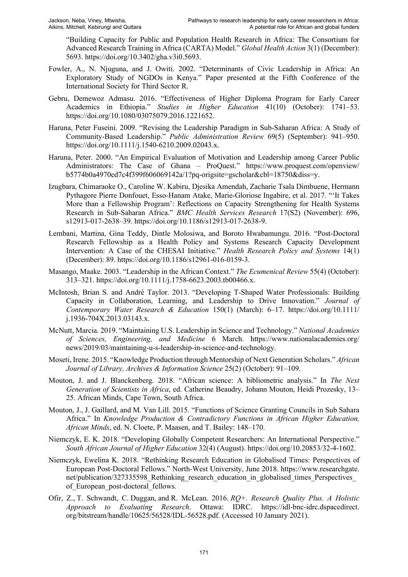"Building Capacity for Public and Population Health Research in Africa: The Consortium for Advanced Research Training in Africa (CARTA) Model." *Global Health Action* 3(1) (December): 5693. https://doi.org/10.3402/gha.v3i0.5693.

- Fowler, A., N. Njuguna, and J. Owiti. 2002. "Determinants of Civic Leadership in Africa: An Exploratory Study of NGDOs in Kenya." Paper presented at the Fifth Conference of the International Society for Third Sector R.
- Gebru, Demewoz Admasu. 2016. "Effectiveness of Higher Diploma Program for Early Career Academics in Ethiopia." *Studies in Higher Education* 41(10) (October): 1741–53. https://doi.org/10.1080/03075079.2016.1221652.
- Haruna, Peter Fuseini. 2009. "Revising the Leadership Paradigm in Sub-Saharan Africa: A Study of Community-Based Leadership." *Public Administration Review* 69(5) (September): 941–950. https://doi.org/10.1111/j.1540-6210.2009.02043.x.
- Haruna, Peter. 2000. "An Empirical Evaluation of Motivation and Leadership among Career Public Administrators: The Case of Ghana - ProQuest." https://www.proquest.com/openview/ b5774b0a4970ed7c4f399f606069142a/1?pq-origsite=gscholar&cbl=18750&diss=y.
- Izugbara, Chimaraoke O., Caroline W. Kabiru, Djesika Amendah, Zacharie Tsala Dimbuene, Hermann Pythagore Pierre Donfouet, Esso-Hanam Atake, Marie-Gloriose Ingabire, et al. 2017. "'It Takes More than a Fellowship Program': Reflections on Capacity Strengthening for Health Systems Research in Sub-Saharan Africa." *BMC Health Services Research* 17(S2) (November): 696, s12913-017-2638–39. https://doi.org/10.1186/s12913-017-2638-9.
- Lembani, Martina, Gina Teddy, Dintle Molosiwa, and Boroto Hwabamungu. 2016. "Post-Doctoral Research Fellowship as a Health Policy and Systems Research Capacity Development Intervention: A Case of the CHESAI Initiative." *Health Research Policy and Systems* 14(1) (December): 89. https://doi.org/10.1186/s12961-016-0159-3.
- Masango, Maake. 2003. "Leadership in the African Context." *The Ecumenical Review* 55(4) (October): 313–321. https://doi.org/10.1111/j.1758-6623.2003.tb00466.x.
- McIntosh, Brian S. and André Taylor. 2013. "Developing T-Shaped Water Professionals: Building Capacity in Collaboration, Learning, and Leadership to Drive Innovation." *Journal of Contemporary Water Research & Education* 150(1) (March): 6–17. https://doi.org/10.1111/ j.1936-704X.2013.03143.x.
- McNutt, Marcia. 2019. "Maintaining U.S. Leadership in Science and Technology." *National Academies of Sciences, Engineering, and Medicine* 6 March. https://www.nationalacademies.org/ news/2019/03/maintaining-u-s-leadership-in-science-and-technology.
- Moseti, Irene. 2015. "Knowledge Production through Mentorship of Next Generation Scholars." *African Journal of Library, Archives & Information Science* 25(2) (October): 91–109.
- Mouton, J. and J. Blanckenberg. 2018. "African science: A bibliometric analysis." In *The Next*  Generation of Scientists in Africa, ed. Catherine Beaudry, Johann Mouton, Heidi Prozesky, 13-25. African Minds, Cape Town, South Africa.
- Mouton, J., J. Gaillard, and M. Van Lill. 2015. "Functions of Science Granting Councils in Sub Sahara Africa." In *Knowledge Production & Contradictory Functions in African Higher Education,*  African Minds, ed. N. Cloete, P. Maasen, and T. Bailey: 148–170.
- Niemczyk, E. K. 2018. "Developing Globally Competent Researchers: An International Perspective." *South African Journal of Higher Education* 32(4) (August). https://doi.org/10.20853/32-4-1602.
- Niemczyk, Ewelina K. 2018. "Rethinking Research Education in Globalised Times: Perspectives of European Post-Doctoral Fellows." North-West University, June 2018. https://www.researchgate. net/publication/327335598 Rethinking research education in globalised times Perspectives of European post-doctoral fellows.
- Ofir, Z., T. Schwandt, C. Duggan, and R. McLean. 2016. *RQ+. Research Quality Plus. A Holistic Approach to Evaluating Research*. Ottawa: IDRC. https://idl-bnc-idrc.dspacedirect. org/bitstream/handle/10625/56528/IDL-56528.pdf. (Accessed 10 January 2021).